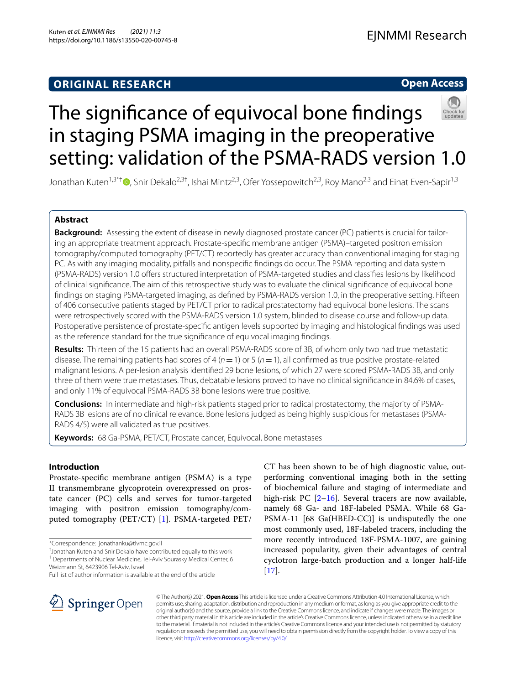## **ORIGINAL RESEARCH**

## **Open Access**



# The signifcance of equivocal bone fndings in staging PSMA imaging in the preoperative setting: validation of the PSMA-RADS version 1.0

Jonathan Kuten<sup>1,3\*†</sup> [,](http://orcid.org/0000-0002-3458-9904) Snir Dekalo<sup>2,3†</sup>, Ishai Mintz<sup>2,3</sup>, Ofer Yossepowitch<sup>2,3</sup>, Roy Mano<sup>2,3</sup> and Einat Even-Sapir<sup>1,3</sup>

## **Abstract**

**Background:** Assessing the extent of disease in newly diagnosed prostate cancer (PC) patients is crucial for tailoring an appropriate treatment approach. Prostate-specifc membrane antigen (PSMA)–targeted positron emission tomography/computed tomography (PET/CT) reportedly has greater accuracy than conventional imaging for staging PC. As with any imaging modality, pitfalls and nonspecifc fndings do occur. The PSMA reporting and data system (PSMA-RADS) version 1.0 ofers structured interpretation of PSMA-targeted studies and classifes lesions by likelihood of clinical signifcance. The aim of this retrospective study was to evaluate the clinical signifcance of equivocal bone fndings on staging PSMA-targeted imaging, as defned by PSMA-RADS version 1.0, in the preoperative setting. Fifteen of 406 consecutive patients staged by PET/CT prior to radical prostatectomy had equivocal bone lesions. The scans were retrospectively scored with the PSMA-RADS version 1.0 system, blinded to disease course and follow-up data. Postoperative persistence of prostate-specifc antigen levels supported by imaging and histological fndings was used as the reference standard for the true signifcance of equivocal imaging fndings.

**Results:** Thirteen of the 15 patients had an overall PSMA-RADS score of 3B, of whom only two had true metastatic disease. The remaining patients had scores of 4 ( $n=1$ ) or 5 ( $n=1$ ), all confirmed as true positive prostate-related malignant lesions. A per-lesion analysis identifed 29 bone lesions, of which 27 were scored PSMA-RADS 3B, and only three of them were true metastases. Thus, debatable lesions proved to have no clinical signifcance in 84.6% of cases, and only 11% of equivocal PSMA-RADS 3B bone lesions were true positive.

**Conclusions:** In intermediate and high-risk patients staged prior to radical prostatectomy, the majority of PSMA-RADS 3B lesions are of no clinical relevance. Bone lesions judged as being highly suspicious for metastases (PSMA-RADS 4/5) were all validated as true positives.

**Keywords:** 68 Ga-PSMA, PET/CT, Prostate cancer, Equivocal, Bone metastases

## **Introduction**

Prostate-specifc membrane antigen (PSMA) is a type II transmembrane glycoprotein overexpressed on prostate cancer (PC) cells and serves for tumor-targeted imaging with positron emission tomography/computed tomography (PET/CT) [[1](#page-6-0)]. PSMA-targeted PET/

† Jonathan Kuten and Snir Dekalo have contributed equally to this work <sup>1</sup> Departments of Nuclear Medicine, Tel-Aviv Sourasky Medical Center, 6 CT has been shown to be of high diagnostic value, outperforming conventional imaging both in the setting of biochemical failure and staging of intermediate and high-risk PC [[2–](#page-6-1)[16\]](#page-6-2). Several tracers are now available, namely 68 Ga- and 18F-labeled PSMA. While 68 Ga-PSMA-11 [68 Ga(HBED-CC)] is undisputedly the one most commonly used, 18F-labeled tracers, including the more recently introduced 18F-PSMA-1007, are gaining increased popularity, given their advantages of central cyclotron large-batch production and a longer half-life [[17\]](#page-6-3).



© The Author(s) 2021. **Open Access** This article is licensed under a Creative Commons Attribution 4.0 International License, which permits use, sharing, adaptation, distribution and reproduction in any medium or format, as long as you give appropriate credit to the original author(s) and the source, provide a link to the Creative Commons licence, and indicate if changes were made. The images or other third party material in this article are included in the article's Creative Commons licence, unless indicated otherwise in a credit line to the material. If material is not included in the article's Creative Commons licence and your intended use is not permitted by statutory regulation or exceeds the permitted use, you will need to obtain permission directly from the copyright holder. To view a copy of this licence, visit [http://creativecommons.org/licenses/by/4.0/.](http://creativecommons.org/licenses/by/4.0/)

<sup>\*</sup>Correspondence: jonathanku@tlvmc.gov.il

Weizmann St, 6423906 Tel‑Aviv, Israel Full list of author information is available at the end of the article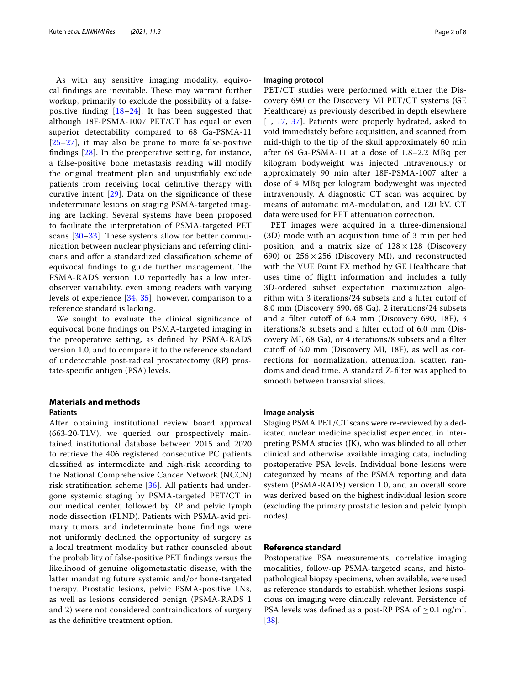As with any sensitive imaging modality, equivocal findings are inevitable. These may warrant further workup, primarily to exclude the possibility of a falsepositive finding  $[18–24]$  $[18–24]$  $[18–24]$ . It has been suggested that although 18F-PSMA-1007 PET/CT has equal or even superior detectability compared to 68 Ga-PSMA-11  $[25-27]$  $[25-27]$  $[25-27]$ , it may also be prone to more false-positive fndings [\[28](#page-7-3)]. In the preoperative setting, for instance, a false-positive bone metastasis reading will modify the original treatment plan and unjustifably exclude patients from receiving local defnitive therapy with curative intent [[29](#page-7-4)]. Data on the signifcance of these indeterminate lesions on staging PSMA-targeted imaging are lacking. Several systems have been proposed to facilitate the interpretation of PSMA-targeted PET scans  $[30-33]$  $[30-33]$ . These systems allow for better communication between nuclear physicians and referring clinicians and ofer a standardized classifcation scheme of equivocal findings to guide further management. The PSMA-RADS version 1.0 reportedly has a low interobserver variability, even among readers with varying levels of experience [\[34,](#page-7-7) [35](#page-7-8)], however, comparison to a reference standard is lacking.

We sought to evaluate the clinical signifcance of equivocal bone fndings on PSMA-targeted imaging in the preoperative setting, as defned by PSMA-RADS version 1.0, and to compare it to the reference standard of undetectable post-radical prostatectomy (RP) prostate-specifc antigen (PSA) levels.

## **Materials and methods**

#### **Patients**

After obtaining institutional review board approval (663-20-TLV), we queried our prospectively maintained institutional database between 2015 and 2020 to retrieve the 406 registered consecutive PC patients classifed as intermediate and high-risk according to the National Comprehensive Cancer Network (NCCN) risk stratifcation scheme [\[36](#page-7-9)]. All patients had undergone systemic staging by PSMA-targeted PET/CT in our medical center, followed by RP and pelvic lymph node dissection (PLND). Patients with PSMA-avid primary tumors and indeterminate bone fndings were not uniformly declined the opportunity of surgery as a local treatment modality but rather counseled about the probability of false-positive PET fndings versus the likelihood of genuine oligometastatic disease, with the latter mandating future systemic and/or bone-targeted therapy. Prostatic lesions, pelvic PSMA-positive LNs, as well as lesions considered benign (PSMA-RADS 1 and 2) were not considered contraindicators of surgery as the defnitive treatment option.

#### **Imaging protocol**

PET/CT studies were performed with either the Discovery 690 or the Discovery MI PET/CT systems (GE Healthcare) as previously described in depth elsewhere [[1](#page-6-0), [17,](#page-6-3) [37](#page-7-10)]. Patients were properly hydrated, asked to void immediately before acquisition, and scanned from mid-thigh to the tip of the skull approximately 60 min after 68 Ga-PSMA-11 at a dose of 1.8–2.2 MBq per kilogram bodyweight was injected intravenously or approximately 90 min after 18F-PSMA-1007 after a dose of 4 MBq per kilogram bodyweight was injected intravenously. A diagnostic CT scan was acquired by means of automatic mA-modulation, and 120 kV. CT data were used for PET attenuation correction.

PET images were acquired in a three-dimensional (3D) mode with an acquisition time of 3 min per bed position, and a matrix size of  $128 \times 128$  (Discovery 690) or  $256 \times 256$  (Discovery MI), and reconstructed with the VUE Point FX method by GE Healthcare that uses time of fight information and includes a fully 3D-ordered subset expectation maximization algorithm with 3 iterations/24 subsets and a flter cutof of 8.0 mm (Discovery 690, 68 Ga), 2 iterations/24 subsets and a filter cutoff of 6.4 mm (Discovery 690, 18F), 3 iterations/8 subsets and a filter cutoff of 6.0 mm (Discovery MI, 68 Ga), or 4 iterations/8 subsets and a flter cutoff of 6.0 mm (Discovery MI, 18F), as well as corrections for normalization, attenuation, scatter, randoms and dead time. A standard Z-flter was applied to smooth between transaxial slices.

### **Image analysis**

Staging PSMA PET/CT scans were re-reviewed by a dedicated nuclear medicine specialist experienced in interpreting PSMA studies (JK), who was blinded to all other clinical and otherwise available imaging data, including postoperative PSA levels. Individual bone lesions were categorized by means of the PSMA reporting and data system (PSMA-RADS) version 1.0, and an overall score was derived based on the highest individual lesion score (excluding the primary prostatic lesion and pelvic lymph nodes).

## **Reference standard**

Postoperative PSA measurements, correlative imaging modalities, follow-up PSMA-targeted scans, and histopathological biopsy specimens, when available, were used as reference standards to establish whether lesions suspicious on imaging were clinically relevant. Persistence of PSA levels was defined as a post-RP PSA of  $\geq 0.1$  ng/mL [[38\]](#page-7-11).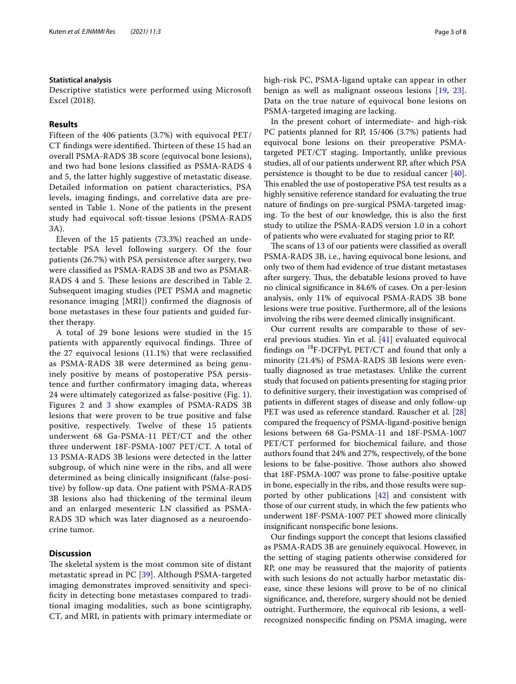#### **Statistical analysis**

Descriptive statistics were performed using Microsoft Excel (2018).

#### **Results**

Fifteen of the 406 patients (3.7%) with equivocal PET/ CT findings were identified. Thirteen of these 15 had an overall PSMA-RADS 3B score (equivocal bone lesions), and two had bone lesions classifed as PSMA-RADS 4 and 5, the latter highly suggestive of metastatic disease. Detailed information on patient characteristics, PSA levels, imaging fndings, and correlative data are pre-sented in Table [1](#page-3-0). None of the patients in the present study had equivocal soft-tissue lesions (PSMA-RADS 3A).

Eleven of the 15 patients (73.3%) reached an undetectable PSA level following surgery. Of the four patients (26.7%) with PSA persistence after surgery, two were classifed as PSMA-RADS 3B and two as PSMAR-RADS 4 and 5. These lesions are described in Table [2](#page-4-0). Subsequent imaging studies (PET PSMA and magnetic resonance imaging [MRI]) confrmed the diagnosis of bone metastases in these four patients and guided further therapy.

A total of 29 bone lesions were studied in the 15 patients with apparently equivocal findings. Three of the 27 equivocal lesions (11.1%) that were reclassifed as PSMA-RADS 3B were determined as being genuinely positive by means of postoperative PSA persistence and further confrmatory imaging data, whereas 24 were ultimately categorized as false-positive (Fig. [1\)](#page-4-1). Figures [2](#page-5-0) and [3](#page-5-1) show examples of PSMA-RADS 3B lesions that were proven to be true positive and false positive, respectively. Twelve of these 15 patients underwent 68 Ga-PSMA-11 PET/CT and the other three underwent 18F-PSMA-1007 PET/CT. A total of 13 PSMA-RADS 3B lesions were detected in the latter subgroup, of which nine were in the ribs, and all were determined as being clinically insignifcant (false-positive) by follow-up data. One patient with PSMA-RADS 3B lesions also had thickening of the terminal ileum and an enlarged mesenteric LN classifed as PSMA-RADS 3D which was later diagnosed as a neuroendocrine tumor.

## **Discussion**

The skeletal system is the most common site of distant metastatic spread in PC [\[39\]](#page-7-12). Although PSMA-targeted imaging demonstrates improved sensitivity and specifcity in detecting bone metastases compared to traditional imaging modalities, such as bone scintigraphy, CT, and MRI, in patients with primary intermediate or high-risk PC, PSMA-ligand uptake can appear in other benign as well as malignant osseous lesions [[19](#page-6-5), [23](#page-6-6)]. Data on the true nature of equivocal bone lesions on PSMA-targeted imaging are lacking.

In the present cohort of intermediate- and high-risk PC patients planned for RP, 15/406 (3.7%) patients had equivocal bone lesions on their preoperative PSMAtargeted PET/CT staging. Importantly, unlike previous studies, all of our patients underwent RP, after which PSA persistence is thought to be due to residual cancer [\[40](#page-7-13)]. This enabled the use of postoperative PSA test results as a highly sensitive reference standard for evaluating the true nature of fndings on pre-surgical PSMA-targeted imaging. To the best of our knowledge, this is also the frst study to utilize the PSMA-RADS version 1.0 in a cohort of patients who were evaluated for staging prior to RP.

The scans of 13 of our patients were classified as overall PSMA-RADS 3B, i.e., having equivocal bone lesions, and only two of them had evidence of true distant metastases after surgery. Thus, the debatable lesions proved to have no clinical signifcance in 84.6% of cases. On a per-lesion analysis, only 11% of equivocal PSMA-RADS 3B bone lesions were true positive. Furthermore, all of the lesions involving the ribs were deemed clinically insignifcant.

Our current results are comparable to those of several previous studies. Yin et al. [\[41](#page-7-14)] evaluated equivocal fndings on 18F-DCFPyL PET/CT and found that only a minority (21.4%) of PSMA-RADS 3B lesions were eventually diagnosed as true metastases. Unlike the current study that focused on patients presenting for staging prior to defnitive surgery, their investigation was comprised of patients in diferent stages of disease and only follow-up PET was used as reference standard. Rauscher et al. [[28](#page-7-3)] compared the frequency of PSMA-ligand-positive benign lesions between 68 Ga-PSMA-11 and 18F-PSMA-1007 PET/CT performed for biochemical failure, and those authors found that 24% and 27%, respectively, of the bone lesions to be false-positive. Those authors also showed that 18F-PSMA-1007 was prone to false-positive uptake in bone, especially in the ribs, and those results were supported by other publications [\[42](#page-7-15)] and consistent with those of our current study, in which the few patients who underwent 18F-PSMA-1007 PET showed more clinically insignifcant nonspecifc bone lesions.

Our fndings support the concept that lesions classifed as PSMA-RADS 3B are genuinely equivocal. However, in the setting of staging patients otherwise considered for RP, one may be reassured that the majority of patients with such lesions do not actually harbor metastatic disease, since these lesions will prove to be of no clinical signifcance, and, therefore, surgery should not be denied outright. Furthermore, the equivocal rib lesions, a wellrecognized nonspecifc fnding on PSMA imaging, were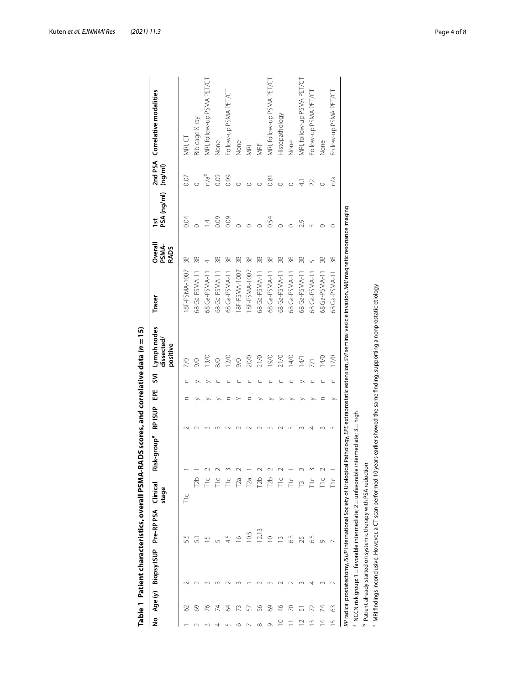|                |         | Table 1 Patient characteristics, overall PSMA-R.                             |                |                   |                         |                |               |             | ADS scores, and correlative data $(n=15)$                                                                                                         |                                                                                                       |                          |                              |                  |                                |
|----------------|---------|------------------------------------------------------------------------------|----------------|-------------------|-------------------------|----------------|---------------|-------------|---------------------------------------------------------------------------------------------------------------------------------------------------|-------------------------------------------------------------------------------------------------------|--------------------------|------------------------------|------------------|--------------------------------|
| ş              | Age (y) | Biopsy ISUP                                                                  | Pre-RP PSA     | Clinical<br>stage | Risk-group <sup>a</sup> | <b>RP ISUP</b> | 꼽             | $\tilde{z}$ | Lymph nodes<br>dissected<br>positive                                                                                                              | Tracer                                                                                                | PSMA-<br>RADS<br>Overall | PSA (ng/ml)<br>$\frac{1}{2}$ | (mg/ml)          | 2nd PSA Correlative modalities |
|                | 3       |                                                                              | 55             | T <sub>1C</sub>   |                         |                | ⊂             |             | $\approx$                                                                                                                                         | 18F-PSMA-1007                                                                                         | 3B                       | 0.04                         | 0.07             | MRI, CT                        |
|                | 69      |                                                                              | 51             | 12b               |                         |                |               |             | 9/0                                                                                                                                               | 68 Ga-PSMA-11                                                                                         | 38                       | $\circ$                      |                  | Rib cage X-ray                 |
|                | 26      |                                                                              | $\cup$         |                   |                         |                |               |             | 13/0                                                                                                                                              | 68 Ga-PSMA-11                                                                                         | 4                        | $\overline{4}$               | n/a <sup>b</sup> | MRI, follow-up PSMA PET/CT     |
| 4              | 24      |                                                                              |                | Fic               |                         |                |               |             | $\frac{8}{0}$                                                                                                                                     | 68 Ga-PSMA-11                                                                                         | 3B                       | 0.09                         | 0.09             | None                           |
|                | 2       |                                                                              |                | Ĕ                 |                         |                |               |             | 12/0                                                                                                                                              | 68 Ga-PSMA-11                                                                                         | 3B                       | 0.09                         | 0.09             | Follow-up PSMA PET/CT          |
| ৩              | R       |                                                                              | $\overline{9}$ | $\Gamma$ a        |                         |                |               |             | $\frac{1}{6}$                                                                                                                                     | 18F-PSMA-1007                                                                                         | 38                       | $\circ$                      | $\circ$          | None                           |
|                | 57      |                                                                              | 10.5           | T <sub>2a</sub>   |                         |                | ⊆             |             | 20/0                                                                                                                                              | 18F-PSMA-1007                                                                                         | 3B                       | $\circ$                      | $\circ$          | MRI                            |
| $\infty$       | 56      |                                                                              | 12.13          | <b>Db</b>         |                         |                |               |             | 21/0                                                                                                                                              | 68 Ga-PSMA-11                                                                                         | 3B                       |                              |                  | <b>MR</b>                      |
| $\sigma$       | 69      |                                                                              | $\circ$        | T <sub>2</sub> b  |                         |                |               |             | 19/0                                                                                                                                              | 68 Ga-PSMA-11                                                                                         | 38                       | 0.54                         | 0.81             | MRI, follow-up PSMA PET/CT     |
| $\subseteq$    | 46      |                                                                              |                | Ξ                 |                         |                | ➢             | C           | 21/0                                                                                                                                              | 68 Ga-PSMA-11                                                                                         | 38                       | $\circ$                      | $\circ$          | Histopathology                 |
|                | 2       |                                                                              | 6.3            | Fic               |                         |                |               |             | 14/0                                                                                                                                              | 68 Ga-PSMA-11                                                                                         | 38                       | $\circ$                      | $\circ$          | None                           |
|                |         |                                                                              | 25             |                   |                         |                |               |             | 14/1                                                                                                                                              | 68 Ga-PSMA-11                                                                                         | 38                       | 2.9                          | $\overline{4}$   | MRI, follow-up PSMA PET/CT     |
| $\infty$       |         |                                                                              | 6.5            | Fic               |                         |                |               |             | $\overline{71}$                                                                                                                                   | 68 Ga-PSMA-11                                                                                         | 5                        | 3                            | $\mathfrak{D}$   | Follow-up PSMA PET/CT          |
| $\overline{4}$ | 74      |                                                                              | Ō              | ΓL                |                         |                | C             | C           | 14/0                                                                                                                                              | 68 Ga-PSMA-11                                                                                         | 3B                       | $\circ$                      | $\circ$          | None                           |
| S              | 3       | $\sim$                                                                       |                | Fic               |                         |                | $\rightarrow$ | $\subset$   | 17/0                                                                                                                                              | 68 Ga-PSMA-11                                                                                         | 3B                       | O                            | n/a              | Follow-up PSMA PET/CT          |
|                |         | RP radical prostatectomy, ISUP International Society of Urological           |                |                   |                         |                |               |             |                                                                                                                                                   | Pathology, EPE extraprostatic extension, SVI seminal vesicle invasion, MRI magnetic resonance imaging |                          |                              |                  |                                |
|                |         | <sup>a</sup> NCCN risk group: 1 = favorable intermediate; 2 = unfavorable in |                |                   | $ntermediate; 3 = high$ |                |               |             |                                                                                                                                                   |                                                                                                       |                          |                              |                  |                                |
| م              |         | Patient already started on systemic therapy with PSA reduction               |                |                   |                         |                |               |             |                                                                                                                                                   |                                                                                                       |                          |                              |                  |                                |
|                |         |                                                                              |                |                   |                         |                |               |             | <sup>c</sup> MRI findings inconclusive. However, a CT scan performed 10 years earlier showed the same finding, supporting a nonprostatic etiology |                                                                                                       |                          |                              |                  |                                |

<span id="page-3-0"></span>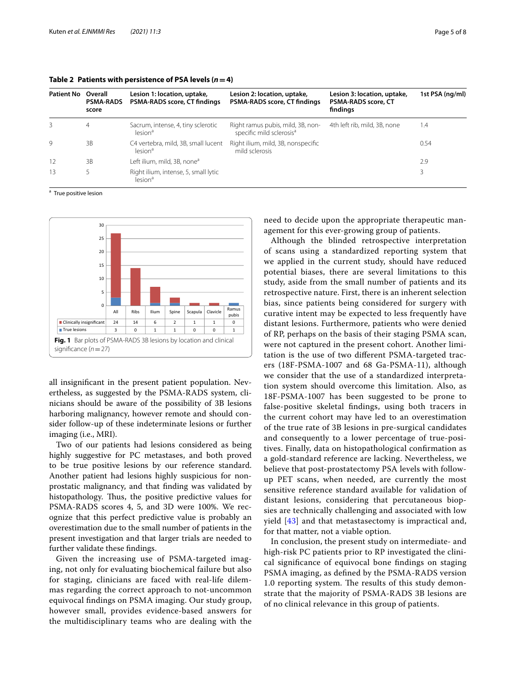| <b>Patient No</b> | Overall<br><b>PSMA-RADS</b><br>score | Lesion 1: location, uptake,<br><b>PSMA-RADS score, CT findings</b> | Lesion 2: location, uptake,<br><b>PSMA-RADS score, CT findings</b>        | Lesion 3: location, uptake,<br><b>PSMA-RADS score, CT</b><br>findings | 1st PSA (ng/ml) |
|-------------------|--------------------------------------|--------------------------------------------------------------------|---------------------------------------------------------------------------|-----------------------------------------------------------------------|-----------------|
| 3                 | 4                                    | Sacrum, intense, 4, tiny sclerotic<br>lesion <sup>a</sup>          | Right ramus pubis, mild, 3B, non-<br>specific mild sclerosis <sup>a</sup> | 4th left rib, mild, 3B, none                                          | 1.4             |
| $\mathsf{Q}$      | 3B                                   | C4 vertebra, mild, 3B, small lucent<br>lesion <sup>a</sup>         | Right ilium, mild, 3B, nonspecific<br>mild sclerosis                      |                                                                       | 0.54            |
| 12                | 3B                                   | Left ilium, mild, 3B, none <sup>a</sup>                            |                                                                           |                                                                       | 2.9             |
| 13                |                                      | Right ilium, intense, 5, small lytic<br>lesion <sup>a</sup>        |                                                                           |                                                                       |                 |

<span id="page-4-0"></span>**Table 2 Patients with persistence of PSA levels**  $(n=4)$ 

<sup>a</sup> True positive lesion



<span id="page-4-1"></span>all insignifcant in the present patient population. Nevertheless, as suggested by the PSMA-RADS system, clinicians should be aware of the possibility of 3B lesions harboring malignancy, however remote and should consider follow-up of these indeterminate lesions or further imaging (i.e., MRI).

Two of our patients had lesions considered as being highly suggestive for PC metastases, and both proved to be true positive lesions by our reference standard. Another patient had lesions highly suspicious for nonprostatic malignancy, and that fnding was validated by histopathology. Thus, the positive predictive values for PSMA-RADS scores 4, 5, and 3D were 100%. We recognize that this perfect predictive value is probably an overestimation due to the small number of patients in the present investigation and that larger trials are needed to further validate these fndings.

Given the increasing use of PSMA-targeted imaging, not only for evaluating biochemical failure but also for staging, clinicians are faced with real-life dilemmas regarding the correct approach to not-uncommon equivocal fndings on PSMA imaging. Our study group, however small, provides evidence-based answers for the multidisciplinary teams who are dealing with the need to decide upon the appropriate therapeutic management for this ever-growing group of patients.

Although the blinded retrospective interpretation of scans using a standardized reporting system that we applied in the current study, should have reduced potential biases, there are several limitations to this study, aside from the small number of patients and its retrospective nature. First, there is an inherent selection bias, since patients being considered for surgery with curative intent may be expected to less frequently have distant lesions. Furthermore, patients who were denied of RP, perhaps on the basis of their staging PSMA scan, were not captured in the present cohort. Another limitation is the use of two diferent PSMA-targeted tracers (18F-PSMA-1007 and 68 Ga-PSMA-11), although we consider that the use of a standardized interpretation system should overcome this limitation. Also, as 18F-PSMA-1007 has been suggested to be prone to false-positive skeletal fndings, using both tracers in the current cohort may have led to an overestimation of the true rate of 3B lesions in pre-surgical candidates and consequently to a lower percentage of true-positives. Finally, data on histopathological confrmation as a gold-standard reference are lacking. Nevertheless, we believe that post-prostatectomy PSA levels with followup PET scans, when needed, are currently the most sensitive reference standard available for validation of distant lesions, considering that percutaneous biopsies are technically challenging and associated with low yield [[43\]](#page-7-16) and that metastasectomy is impractical and, for that matter, not a viable option.

In conclusion, the present study on intermediate- and high-risk PC patients prior to RP investigated the clinical signifcance of equivocal bone fndings on staging PSMA imaging, as defned by the PSMA-RADS version 1.0 reporting system. The results of this study demonstrate that the majority of PSMA-RADS 3B lesions are of no clinical relevance in this group of patients.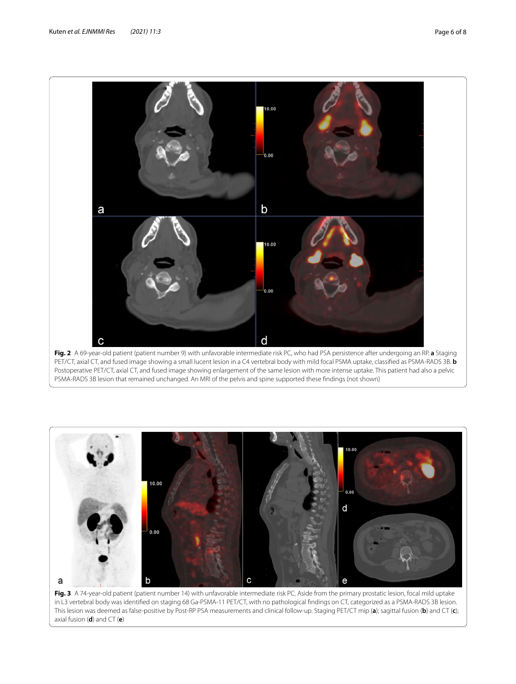

<span id="page-5-0"></span>



<span id="page-5-1"></span>axial fusion (**d**) and CT (**e**)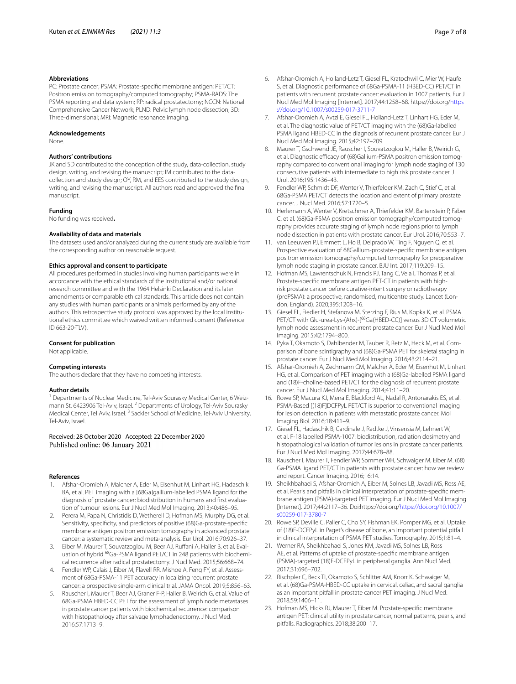#### **Abbreviations**

PC: Prostate cancer; PSMA: Prostate-specifc membrane antigen; PET/CT: Positron emission tomography/computed tomography; PSMA-RADS: The PSMA reporting and data system; RP: radical prostatectomy; NCCN: National Comprehensive Cancer Network; PLND: Pelvic lymph node dissection; 3D: Three-dimensional; MRI: Magnetic resonance imaging.

#### **Acknowledgements**

None.

#### **Authors' contributions**

JK and SD contributed to the conception of the study, data-collection, study design, writing, and revising the manuscript; IM contributed to the datacollection and study design; OY, RM, and EES contributed to the study design, writing, and revising the manuscript. All authors read and approved the fnal manuscript.

#### **Funding**

No funding was received**.**

#### **Availability of data and materials**

The datasets used and/or analyzed during the current study are available from the corresponding author on reasonable request.

#### **Ethics approval and consent to participate**

All procedures performed in studies involving human participants were in accordance with the ethical standards of the institutional and/or national research committee and with the 1964 Helsinki Declaration and its later amendments or comparable ethical standards. This article does not contain any studies with human participants or animals performed by any of the authors. This retrospective study protocol was approved by the local institutional ethics committee which waived written informed consent (Reference ID 663-20-TLV).

#### **Consent for publication**

Not applicable.

#### **Competing interests**

The authors declare that they have no competing interests.

#### **Author details**

<sup>1</sup> Departments of Nuclear Medicine, Tel-Aviv Sourasky Medical Center, 6 Weizmann St, 6423906 Tel-Aviv, Israel. <sup>2</sup> Departments of Urology, Tel-Aviv Sourasky Medical Center, Tel Aviv, Israel.<sup>3</sup> Sackler School of Medicine, Tel-Aviv University, Tel‑Aviv, Israel.

#### Received: 28 October 2020 Accepted: 22 December 2020 Published online: 06 January 2021

#### **References**

- <span id="page-6-0"></span>1. Afshar-Oromieh A, Malcher A, Eder M, Eisenhut M, Linhart HG, Hadaschik BA, et al. PET imaging with a [68Ga]gallium-labelled PSMA ligand for the diagnosis of prostate cancer: biodistribution in humans and frst evalua‑ tion of tumour lesions. Eur J Nucl Med Mol Imaging. 2013;40:486–95.
- <span id="page-6-1"></span>2. Perera M, Papa N, Christidis D, Wetherell D, Hofman MS, Murphy DG, et al. Sensitivity, specificity, and predictors of positive (68)Ga-prostate-specific membrane antigen positron emission tomography in advanced prostate cancer: a systematic review and meta-analysis. Eur Urol. 2016;70:926–37.
- 3. Eiber M, Maurer T, Souvatzoglou M, Beer AJ, Ruffani A, Haller B, et al. Evaluation of hybrid <sup>68</sup>Ga-PSMA ligand PET/CT in 248 patients with biochemical recurrence after radical prostatectomy. J Nucl Med. 2015;56:668–74.
- 4. Fendler WP, Calais J, Eiber M, Flavell RR, Mishoe A, Feng FY, et al. Assessment of 68Ga-PSMA-11 PET accuracy in localizing recurrent prostate cancer: a prospective single-arm clinical trial. JAMA Oncol. 2019;5:856–63.
- 5. Rauscher I, Maurer T, Beer AJ, Graner F-P, Haller B, Weirich G, et al. Value of 68Ga-PSMA HBED-CC PET for the assessment of lymph node metastases in prostate cancer patients with biochemical recurrence: comparison with histopathology after salvage lymphadenectomy. J Nucl Med. 2016;57:1713–9.
- 6. Afshar-Oromieh A, Holland-Letz T, Giesel FL, Kratochwil C, Mier W, Haufe S, et al. Diagnostic performance of 68Ga-PSMA-11 (HBED-CC) PET/CT in patients with recurrent prostate cancer: evaluation in 1007 patients. Eur J Nucl Med Mol Imaging [Internet]. 2017;44:1258–68. https://doi.org/[https](https://doi.org/10.1007/s00259-017-3711-7) [://doi.org/10.1007/s00259-017-3711-7](https://doi.org/10.1007/s00259-017-3711-7)
- 7. Afshar-Oromieh A, Avtzi E, Giesel FL, Holland-Letz T, Linhart HG, Eder M, et al. The diagnostic value of PET/CT imaging with the (68)Ga-labelled PSMA ligand HBED-CC in the diagnosis of recurrent prostate cancer. Eur J Nucl Med Mol Imaging. 2015;42:197–209.
- 8. Maurer T, Gschwend JE, Rauscher I, Souvatzoglou M, Haller B, Weirich G, et al. Diagnostic efficacy of (68)Gallium-PSMA positron emission tomography compared to conventional imaging for lymph node staging of 130 consecutive patients with intermediate to high risk prostate cancer. J Urol. 2016;195:1436–43.
- 9. Fendler WP, Schmidt DF, Wenter V, Thierfelder KM, Zach C, Stief C, et al. 68Ga-PSMA PET/CT detects the location and extent of primary prostate cancer. J Nucl Med. 2016;57:1720–5.
- 10. Herlemann A, Wenter V, Kretschmer A, Thierfelder KM, Bartenstein P, Faber C, et al. (68)Ga-PSMA positron emission tomography/computed tomography provides accurate staging of lymph node regions prior to lymph node dissection in patients with prostate cancer. Eur Urol. 2016;70:553–7.
- 11. van Leeuwen PJ, Emmett L, Ho B, Delprado W, Ting F, Nguyen Q, et al. Prospective evaluation of 68Gallium-prostate-specifc membrane antigen positron emission tomography/computed tomography for preoperative lymph node staging in prostate cancer. BJU Int. 2017;119:209–15.
- 12. Hofman MS, Lawrentschuk N, Francis RJ, Tang C, Vela I, Thomas P, et al. Prostate-specifc membrane antigen PET-CT in patients with highrisk prostate cancer before curative-intent surgery or radiotherapy (proPSMA): a prospective, randomised, multicentre study. Lancet (London, England). 2020;395:1208–16.
- 13. Giesel FL, Fiedler H, Stefanova M, Sterzing F, Rius M, Kopka K, et al. PSMA PET/CT with Glu-urea-Lys-(Ahx)-[<sup>68</sup>Ga(HBED-CC)] versus 3D CT volumetric lymph node assessment in recurrent prostate cancer. Eur J Nucl Med Mol Imaging. 2015;42:1794–800.
- 14. Pyka T, Okamoto S, Dahlbender M, Tauber R, Retz M, Heck M, et al. Comparison of bone scintigraphy and (68)Ga-PSMA PET for skeletal staging in prostate cancer. Eur J Nucl Med Mol Imaging. 2016;43:2114–21.
- 15. Afshar-Oromieh A, Zechmann CM, Malcher A, Eder M, Eisenhut M, Linhart HG, et al. Comparison of PET imaging with a (68)Ga-labelled PSMA ligand and (18)F-choline-based PET/CT for the diagnosis of recurrent prostate cancer. Eur J Nucl Med Mol Imaging. 2014;41:11–20.
- <span id="page-6-2"></span>16. Rowe SP, Macura KJ, Mena E, Blackford AL, Nadal R, Antonarakis ES, et al. PSMA-Based [(18)F]DCFPyL PET/CT is superior to conventional imaging for lesion detection in patients with metastatic prostate cancer. Mol Imaging Biol. 2016;18:411–9.
- <span id="page-6-3"></span>17. Giesel FL, Hadaschik B, Cardinale J, Radtke J, Vinsensia M, Lehnert W, et al. F-18 labelled PSMA-1007: biodistribution, radiation dosimetry and histopathological validation of tumor lesions in prostate cancer patients. Eur J Nucl Med Mol Imaging. 2017;44:678–88.
- <span id="page-6-4"></span>18. Rauscher I, Maurer T, Fendler WP, Sommer WH, Schwaiger M, Eiber M. (68) Ga-PSMA ligand PET/CT in patients with prostate cancer: how we review and report. Cancer Imaging. 2016;16:14.
- <span id="page-6-5"></span>19. Sheikhbahaei S, Afshar-Oromieh A, Eiber M, Solnes LB, Javadi MS, Ross AE, et al. Pearls and pitfalls in clinical interpretation of prostate-specific membrane antigen (PSMA)-targeted PET imaging. Eur J Nucl Med Mol Imaging [Internet]. 2017;44:2117–36. Doi:https://doi.org[/https://doi.org/10.1007/](https://doi.org/10.1007/s00259-017-3780-7) [s00259-017-3780-7](https://doi.org/10.1007/s00259-017-3780-7)
- 20. Rowe SP, Deville C, Paller C, Cho SY, Fishman EK, Pomper MG, et al. Uptake of (18)F-DCFPyL in Paget's disease of bone, an important potential pitfall in clinical interpretation of PSMA PET studies. Tomography. 2015;1:81–4.
- 21. Werner RA, Sheikhbahaei S, Jones KM, Javadi MS, Solnes LB, Ross AE, et al. Patterns of uptake of prostate-specifc membrane antigen (PSMA)-targeted (18)F-DCFPyL in peripheral ganglia. Ann Nucl Med. 2017;31:696–702.
- 22. Rischpler C, Beck TI, Okamoto S, Schlitter AM, Knorr K, Schwaiger M, et al. (68)Ga-PSMA-HBED-CC uptake in cervical, celiac, and sacral ganglia as an important pitfall in prostate cancer PET imaging. J Nucl Med. 2018;59:1406–11.
- <span id="page-6-6"></span>23. Hofman MS, Hicks RJ, Maurer T, Eiber M. Prostate-specifc membrane antigen PET: clinical utility in prostate cancer, normal patterns, pearls, and pitfalls. Radiographics. 2018;38:200–17.